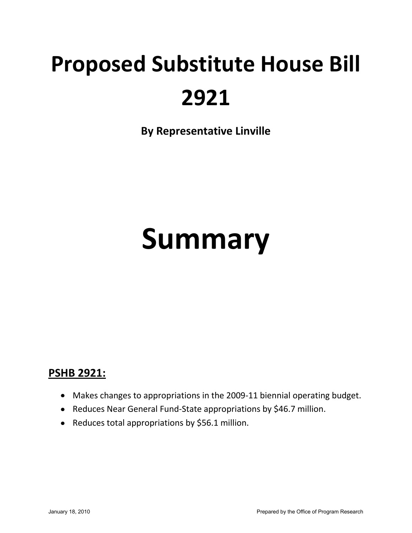## **Proposed Substitute House Bill 2921**

**By Representative Linville** 

# **Summary**

## **PSHB 2921:**

- Makes changes to appropriations in the 2009-11 biennial operating budget.
- Reduces Near General Fund-State appropriations by \$46.7 million.
- Reduces total appropriations by \$56.1 million.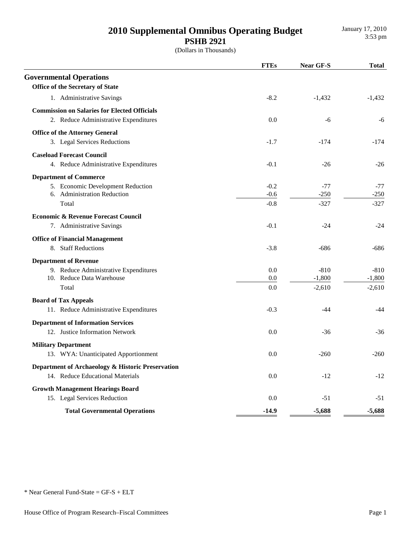## 2010 Supplemental Omnibus Operating Budget **PSHB 2921**

|                                                     | <b>FTEs</b> | <b>Near GF-S</b> | <b>Total</b> |
|-----------------------------------------------------|-------------|------------------|--------------|
| <b>Governmental Operations</b>                      |             |                  |              |
| <b>Office of the Secretary of State</b>             |             |                  |              |
| 1. Administrative Savings                           | $-8.2$      | $-1,432$         | $-1,432$     |
| <b>Commission on Salaries for Elected Officials</b> |             |                  |              |
| 2. Reduce Administrative Expenditures               | 0.0         | -6               | -6           |
| <b>Office of the Attorney General</b>               |             |                  |              |
| 3. Legal Services Reductions                        | $-1.7$      | $-174$           | $-174$       |
| <b>Caseload Forecast Council</b>                    |             |                  |              |
| 4. Reduce Administrative Expenditures               | $-0.1$      | $-26$            | $-26$        |
| <b>Department of Commerce</b>                       |             |                  |              |
| 5. Economic Development Reduction                   | $-0.2$      | $-77$            | $-77$        |
| 6. Administration Reduction                         | $-0.6$      | $-250$           | $-250$       |
| Total                                               | $-0.8$      | $-327$           | $-327$       |
| <b>Economic &amp; Revenue Forecast Council</b>      |             |                  |              |
| 7. Administrative Savings                           | $-0.1$      | $-24$            | $-24$        |
| <b>Office of Financial Management</b>               |             |                  |              |
| 8. Staff Reductions                                 | $-3.8$      | $-686$           | $-686$       |
| <b>Department of Revenue</b>                        |             |                  |              |
| 9. Reduce Administrative Expenditures               | 0.0         | $-810$           | $-810$       |
| 10. Reduce Data Warehouse                           | 0.0         | $-1,800$         | $-1,800$     |
| Total                                               | 0.0         | $-2,610$         | $-2,610$     |
| <b>Board of Tax Appeals</b>                         |             |                  |              |
| 11. Reduce Administrative Expenditures              | $-0.3$      | $-44$            | $-44$        |
| <b>Department of Information Services</b>           |             |                  |              |
| 12. Justice Information Network                     | 0.0         | $-36$            | $-36$        |
| <b>Military Department</b>                          |             |                  |              |
| 13. WYA: Unanticipated Apportionment                | 0.0         | $-260$           | $-260$       |
| Department of Archaeology & Historic Preservation   |             |                  |              |
| 14. Reduce Educational Materials                    | 0.0         | $-12$            | $-12$        |
| <b>Growth Management Hearings Board</b>             |             |                  |              |
| 15. Legal Services Reduction                        | 0.0         | $-51$            | -51          |
| <b>Total Governmental Operations</b>                | $-14.9$     | $-5,688$         | $-5,688$     |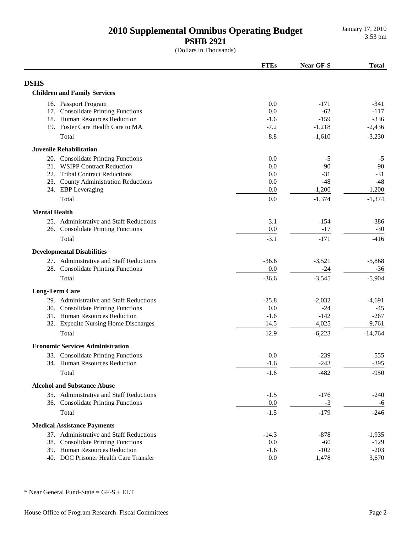January 17, 2010

**PSHB 2921**

(Dollars in Thousands)

|                                         | <b>FTEs</b> | <b>Near GF-S</b> | <b>Total</b> |
|-----------------------------------------|-------------|------------------|--------------|
| <b>DSHS</b>                             |             |                  |              |
| <b>Children and Family Services</b>     |             |                  |              |
| 16. Passport Program                    | 0.0         | $-171$           | $-341$       |
| 17. Consolidate Printing Functions      | 0.0         | $-62$            | $-117$       |
| 18. Human Resources Reduction           | $-1.6$      | $-159$           | $-336$       |
| 19. Foster Care Health Care to MA       | $-7.2$      | $-1,218$         | $-2,436$     |
| Total                                   | $-8.8$      | $-1,610$         | $-3,230$     |
| <b>Juvenile Rehabilitation</b>          |             |                  |              |
| 20. Consolidate Printing Functions      | 0.0         | $-5$             | $-5$         |
| 21. WSIPP Contract Reduction            | 0.0         | $-90$            | $-90$        |
| 22. Tribal Contract Reductions          | 0.0         | $-31$            | $-31$        |
| 23. County Administration Reductions    | 0.0         | $-48$            | $-48$        |
| 24. EBP Leveraging                      | 0.0         | $-1,200$         | $-1,200$     |
| Total                                   | 0.0         | $-1,374$         | $-1,374$     |
| <b>Mental Health</b>                    |             |                  |              |
| 25. Administrative and Staff Reductions | $-3.1$      | $-154$           | $-386$       |
| 26. Consolidate Printing Functions      | 0.0         | $-17$            | $-30$        |
| Total                                   | $-3.1$      | $-171$           | $-416$       |
| <b>Developmental Disabilities</b>       |             |                  |              |
| 27. Administrative and Staff Reductions | $-36.6$     | $-3,521$         | $-5,868$     |
| 28. Consolidate Printing Functions      | 0.0         | $-24$            | $-36$        |
| Total                                   | $-36.6$     | $-3,545$         | $-5,904$     |
| <b>Long-Term Care</b>                   |             |                  |              |
| 29. Administrative and Staff Reductions | $-25.8$     | $-2,032$         | $-4,691$     |
| 30. Consolidate Printing Functions      | 0.0         | $-24$            | $-45$        |
| 31. Human Resources Reduction           | $-1.6$      | $-142$           | $-267$       |
| 32. Expedite Nursing Home Discharges    | 14.5        | $-4,025$         | $-9,761$     |
| Total                                   | $-12.9$     | $-6,223$         | $-14,764$    |
| <b>Economic Services Administration</b> |             |                  |              |
| 33. Consolidate Printing Functions      | 0.0         | $-239$           | $-555$       |
| 34. Human Resources Reduction           | $-1.6$      | $-243$           | $-395$       |
| Total                                   | $-1.6$      | $-482$           | $-950$       |
| <b>Alcohol and Substance Abuse</b>      |             |                  |              |
| 35. Administrative and Staff Reductions | $-1.5$      | $-176$           | $-240$       |
| 36. Consolidate Printing Functions      | 0.0         | $-3$             | -6           |
| Total                                   | $-1.5$      | $-179$           | $-246$       |
| <b>Medical Assistance Payments</b>      |             |                  |              |
| 37. Administrative and Staff Reductions | $-14.3$     | $-878$           | $-1,935$     |
| 38. Consolidate Printing Functions      | 0.0         | $-60$            | $-129$       |
| 39. Human Resources Reduction           | $-1.6$      | $-102$           | $-203$       |
| 40. DOC Prisoner Health Care Transfer   | 0.0         | 1,478            | 3,670        |
|                                         |             |                  |              |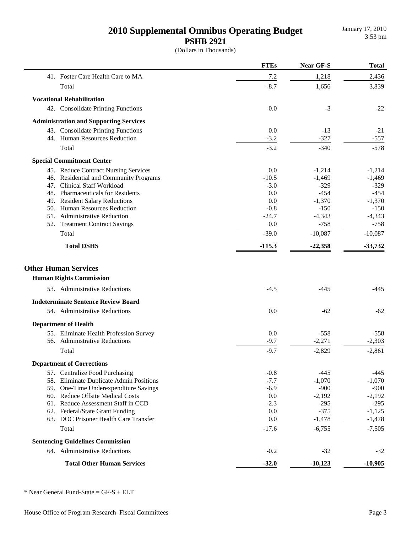(Dollars in Thousands)

|                                               | <b>FTEs</b> | Near GF-S | <b>Total</b> |
|-----------------------------------------------|-------------|-----------|--------------|
| 41. Foster Care Health Care to MA             | $7.2\,$     | 1,218     | 2,436        |
| Total                                         | $-8.7$      | 1,656     | 3,839        |
| <b>Vocational Rehabilitation</b>              |             |           |              |
| 42. Consolidate Printing Functions            | 0.0         | $-3$      | $-22$        |
| <b>Administration and Supporting Services</b> |             |           |              |
| 43. Consolidate Printing Functions            | 0.0         | $-13$     | $-21$        |
| 44. Human Resources Reduction                 | $-3.2$      | $-327$    | $-557$       |
| Total                                         | $-3.2$      | $-340$    | $-578$       |
|                                               |             |           |              |
| <b>Special Commitment Center</b>              |             |           |              |
| 45. Reduce Contract Nursing Services          | 0.0         | $-1,214$  | $-1,214$     |
| 46. Residential and Community Programs        | $-10.5$     | $-1,469$  | $-1,469$     |
| 47. Clinical Staff Workload                   | $-3.0$      | $-329$    | $-329$       |
| 48. Pharmaceuticals for Residents             | 0.0         | $-454$    | $-454$       |
| 49. Resident Salary Reductions                | 0.0         | $-1,370$  | $-1,370$     |
| 50. Human Resources Reduction                 | $-0.8$      | $-150$    | $-150$       |
| 51. Administrative Reduction                  | $-24.7$     | $-4,343$  | $-4,343$     |
| 52. Treatment Contract Savings                | 0.0         | $-758$    | $-758$       |
| Total                                         | $-39.0$     | $-10,087$ | $-10,087$    |
| <b>Total DSHS</b>                             | $-115.3$    | $-22,358$ | $-33,732$    |
| <b>Other Human Services</b>                   |             |           |              |
| <b>Human Rights Commission</b>                |             |           |              |
| 53. Administrative Reductions                 | $-4.5$      | $-445$    | -445         |
| <b>Indeterminate Sentence Review Board</b>    |             |           |              |
| 54. Administrative Reductions                 | 0.0         | $-62$     | $-62$        |
| <b>Department of Health</b>                   |             |           |              |
| 55. Eliminate Health Profession Survey        | 0.0         | $-558$    | $-558$       |
| 56. Administrative Reductions                 | $-9.7$      | $-2,271$  | $-2,303$     |
|                                               |             |           |              |
| Total                                         | $-9.7$      | $-2,829$  | $-2,861$     |
| <b>Department of Corrections</b>              |             |           |              |
| 57. Centralize Food Purchasing                | $-0.8$      | $-445$    | $-445$       |
| 58. Eliminate Duplicate Admin Positions       | $-7.7$      | $-1,070$  | $-1,070$     |
| 59. One-Time Underexpenditure Savings         | $-6.9$      | $-900$    | $-900$       |
| 60. Reduce Offsite Medical Costs              | 0.0         | $-2,192$  | $-2,192$     |
| 61. Reduce Assessment Staff in CCD            | $-2.3$      | $-295$    | $-295$       |
| 62. Federal/State Grant Funding               | 0.0         | $-375$    | $-1,125$     |
| 63. DOC Prisoner Health Care Transfer         | 0.0         | $-1,478$  | $-1,478$     |
| Total                                         | $-17.6$     | $-6,755$  | $-7,505$     |
| <b>Sentencing Guidelines Commission</b>       |             |           |              |
| 64. Administrative Reductions                 | $-0.2$      | $-32$     | $-32$        |
| <b>Total Other Human Services</b>             | $-32.0$     | $-10,123$ | $-10,905$    |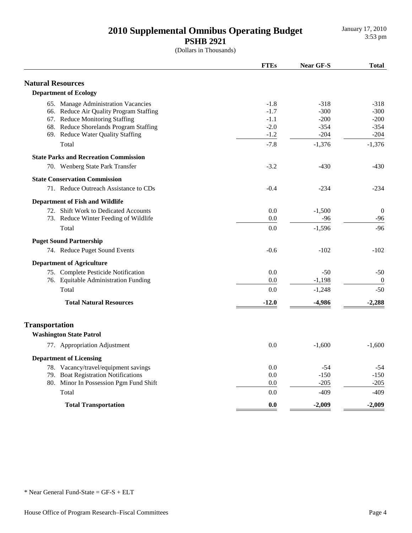(Dollars in Thousands)

|                                              | <b>FTEs</b> | Near GF-S | <b>Total</b>     |
|----------------------------------------------|-------------|-----------|------------------|
| <b>Natural Resources</b>                     |             |           |                  |
| <b>Department of Ecology</b>                 |             |           |                  |
| 65. Manage Administration Vacancies          | $-1.8$      | $-318$    | $-318$           |
| 66. Reduce Air Quality Program Staffing      | $-1.7$      | $-300$    | $-300$           |
| 67. Reduce Monitoring Staffing               | $-1.1$      | $-200$    | $-200$           |
| 68. Reduce Shorelands Program Staffing       | $-2.0$      | $-354$    | $-354$           |
| 69. Reduce Water Quality Staffing            | $-1.2$      | $-204$    | $-204$           |
| Total                                        | $-7.8$      | $-1,376$  | $-1,376$         |
| <b>State Parks and Recreation Commission</b> |             |           |                  |
| 70. Wenberg State Park Transfer              | $-3.2$      | $-430$    | $-430$           |
| <b>State Conservation Commission</b>         |             |           |                  |
| 71. Reduce Outreach Assistance to CDs        | $-0.4$      | $-234$    | $-234$           |
| <b>Department of Fish and Wildlife</b>       |             |           |                  |
| 72. Shift Work to Dedicated Accounts         | 0.0         | $-1,500$  | $\boldsymbol{0}$ |
| 73. Reduce Winter Feeding of Wildlife        | 0.0         | $-96$     | $-96$            |
| Total                                        | 0.0         | $-1,596$  | $-96$            |
| <b>Puget Sound Partnership</b>               |             |           |                  |
| 74. Reduce Puget Sound Events                | $-0.6$      | $-102$    | $-102$           |
| <b>Department of Agriculture</b>             |             |           |                  |
| 75. Complete Pesticide Notification          | 0.0         | $-50$     | $-50$            |
| 76. Equitable Administration Funding         | 0.0         | $-1,198$  | $\boldsymbol{0}$ |
| Total                                        | 0.0         | $-1,248$  | $-50$            |
| <b>Total Natural Resources</b>               | $-12.0$     | $-4,986$  | $-2,288$         |
| <b>Transportation</b>                        |             |           |                  |
| <b>Washington State Patrol</b>               |             |           |                  |
| 77. Appropriation Adjustment                 | 0.0         | $-1,600$  | $-1,600$         |
| <b>Department of Licensing</b>               |             |           |                  |
| 78. Vacancy/travel/equipment savings         | 0.0         | $-54$     | -54              |
| 79. Boat Registration Notifications          | 0.0         | $-150$    | $-150$           |
| 80. Minor In Possession Pgm Fund Shift       | 0.0         | $-205$    | $-205$           |
| Total                                        | 0.0         | $-409$    | $-409$           |
| <b>Total Transportation</b>                  | 0.0         | $-2.009$  | $-2.009$         |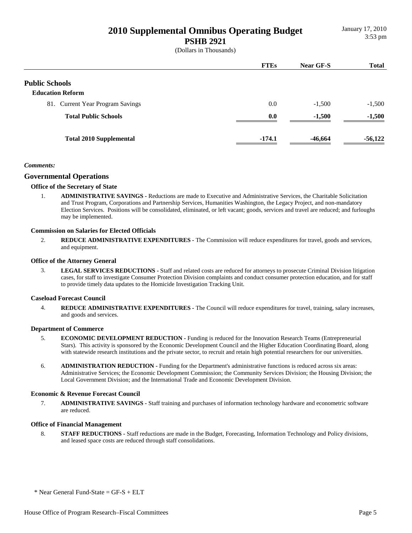(Dollars in Thousands)

|                                  | <b>FTEs</b> | Near GF-S | <b>Total</b> |
|----------------------------------|-------------|-----------|--------------|
| <b>Public Schools</b>            |             |           |              |
| <b>Education Reform</b>          |             |           |              |
| 81. Current Year Program Savings | 0.0         | $-1,500$  | $-1,500$     |
| <b>Total Public Schools</b>      | 0.0         | $-1,500$  | $-1,500$     |
| <b>Total 2010 Supplemental</b>   | $-174.1$    | $-46,664$ | $-56,122$    |

#### *Comments:*

#### **Governmental Operations**

#### **Office of the Secretary of State**

1. **ADMINISTRATIVE SAVINGS -** Reductions are made to Executive and Administrative Services, the Charitable Solicitation and Trust Program, Corporations and Partnership Services, Humanities Washington, the Legacy Project, and non-mandatory Election Services. Positions will be consolidated, eliminated, or left vacant; goods, services and travel are reduced; and furloughs may be implemented.

#### **Commission on Salaries for Elected Officials**

2. **REDUCE ADMINISTRATIVE EXPENDITURES -** The Commission will reduce expenditures for travel, goods and services, and equipment.

#### **Office of the Attorney General**

3. **LEGAL SERVICES REDUCTIONS -** Staff and related costs are reduced for attorneys to prosecute Criminal Division litigation cases, for staff to investigate Consumer Protection Division complaints and conduct consumer protection education, and for staff to provide timely data updates to the Homicide Investigation Tracking Unit.

#### **Caseload Forecast Council**

4. **REDUCE ADMINISTRATIVE EXPENDITURES -** The Council will reduce expenditures for travel, training, salary increases, and goods and services.

#### **Department of Commerce**

- 5. **ECONOMIC DEVELOPMENT REDUCTION** Funding is reduced for the Innovation Research Teams (Entrepreneurial Stars). This activity is sponsored by the Economic Development Council and the Higher Education Coordinating Board, along with statewide research institutions and the private sector, to recruit and retain high potential researchers for our universities.
- 6. **ADMINISTRATION REDUCTION** Funding for the Department's administrative functions is reduced across six areas: Administrative Services; the Economic Development Commission; the Community Services Division; the Housing Division; the Local Government Division; and the International Trade and Economic Development Division.

#### **Economic & Revenue Forecast Council**

7. **ADMINISTRATIVE SAVINGS -** Staff training and purchases of information technology hardware and econometric software are reduced.

#### **Office of Financial Management**

8. **STAFF REDUCTIONS -** Staff reductions are made in the Budget, Forecasting, Information Technology and Policy divisions, and leased space costs are reduced through staff consolidations.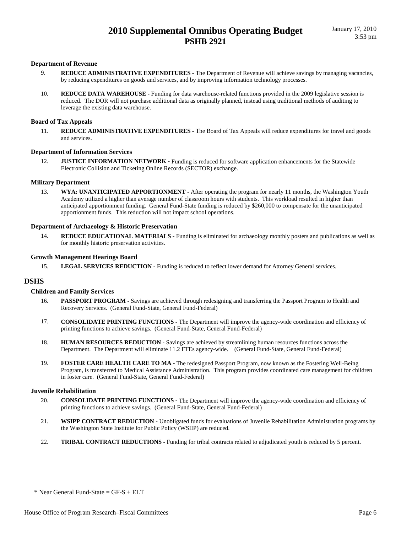#### **Department of Revenue**

- 9. **REDUCE ADMINISTRATIVE EXPENDITURES** The Department of Revenue will achieve savings by managing vacancies, by reducing expenditures on goods and services, and by improving information technology processes.
- 10. **REDUCE DATA WAREHOUSE** Funding for data warehouse-related functions provided in the 2009 legislative session is reduced. The DOR will not purchase additional data as originally planned, instead using traditional methods of auditing to leverage the existing data warehouse.

#### **Board of Tax Appeals**

11. **REDUCE ADMINISTRATIVE EXPENDITURES -** The Board of Tax Appeals will reduce expenditures for travel and goods and services.

#### **Department of Information Services**

12. **JUSTICE INFORMATION NETWORK -** Funding is reduced for software application enhancements for the Statewide Electronic Collision and Ticketing Online Records (SECTOR) exchange.

#### **Military Department**

13. **WYA: UNANTICIPATED APPORTIONMENT -** After operating the program for nearly 11 months, the Washington Youth Academy utilized a higher than average number of classroom hours with students. This workload resulted in higher than anticipated apportionment funding. General Fund-State funding is reduced by \$260,000 to compensate for the unanticipated apportionment funds. This reduction will not impact school operations.

#### **Department of Archaeology & Historic Preservation**

14. **REDUCE EDUCATIONAL MATERIALS -** Funding is eliminated for archaeology monthly posters and publications as well as for monthly historic preservation activities.

#### **Growth Management Hearings Board**

15. **LEGAL SERVICES REDUCTION -** Funding is reduced to reflect lower demand for Attorney General services.

#### **DSHS**

#### **Children and Family Services**

- 16. **PASSPORT PROGRAM** Savings are achieved through redesigning and transferring the Passport Program to Health and Recovery Services. (General Fund-State, General Fund-Federal)
- 17. **CONSOLIDATE PRINTING FUNCTIONS** The Department will improve the agency-wide coordination and efficiency of printing functions to achieve savings. (General Fund-State, General Fund-Federal)
- 18. **HUMAN RESOURCES REDUCTION** Savings are achieved by streamlining human resources functions across the Department. The Department will eliminate 11.2 FTEs agency-wide. (General Fund-State, General Fund-Federal)
- 19. **FOSTER CARE HEALTH CARE TO MA** The redesigned Passport Program, now known as the Fostering Well-Being Program, is transferred to Medical Assistance Administration. This program provides coordinated care management for children in foster care. (General Fund-State, General Fund-Federal)

#### **Juvenile Rehabilitation**

- 20. **CONSOLIDATE PRINTING FUNCTIONS** The Department will improve the agency-wide coordination and efficiency of printing functions to achieve savings. (General Fund-State, General Fund-Federal)
- 21. **WSIPP CONTRACT REDUCTION** Unobligated funds for evaluations of Juvenile Rehabilitation Administration programs by the Washington State Institute for Public Policy (WSIIP) are reduced.
- 22. **TRIBAL CONTRACT REDUCTIONS** Funding for tribal contracts related to adjudicated youth is reduced by 5 percent.

 $*$  Near General Fund-State = GF-S + ELT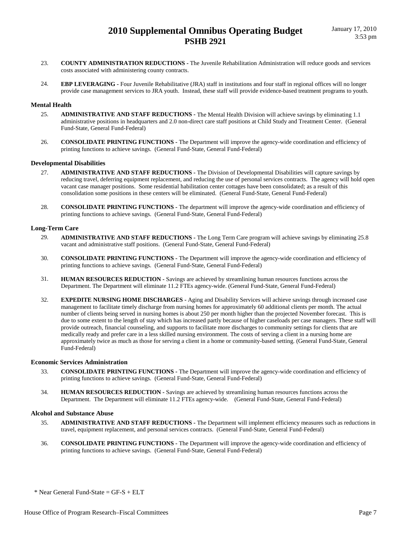- 23. **COUNTY ADMINISTRATION REDUCTIONS** The Juvenile Rehabilitation Administration will reduce goods and services costs associated with administering county contracts.
- 24. **EBP LEVERAGING** Four Juvenile Rehabilitative (JRA) staff in institutions and four staff in regional offices will no longer provide case management services to JRA youth. Instead, these staff will provide evidence-based treatment programs to youth.

#### **Mental Health**

- 25. **ADMINISTRATIVE AND STAFF REDUCTIONS** The Mental Health Division will achieve savings by eliminating 1.1 administrative positions in headquarters and 2.0 non-direct care staff positions at Child Study and Treatment Center. (General Fund-State, General Fund-Federal)
- 26. **CONSOLIDATE PRINTING FUNCTIONS** The Department will improve the agency-wide coordination and efficiency of printing functions to achieve savings. (General Fund-State, General Fund-Federal)

#### **Developmental Disabilities**

- 27. **ADMINISTRATIVE AND STAFF REDUCTIONS** The Division of Developmental Disabilities will capture savings by reducing travel, deferring equipment replacement, and reducing the use of personal services contracts. The agency will hold open vacant case manager positions. Some residential habilitation center cottages have been consolidated; as a result of this consolidation some positions in these centers will be eliminated. (General Fund-State, General Fund-Federal)
- 28. **CONSOLIDATE PRINTING FUNCTIONS** The department will improve the agency-wide coordination and efficiency of printing functions to achieve savings. (General Fund-State, General Fund-Federal)

#### **Long-Term Care**

- 29. **ADMINISTRATIVE AND STAFF REDUCTIONS** The Long Term Care program will achieve savings by eliminating 25.8 vacant and administrative staff positions. (General Fund-State, General Fund-Federal)
- 30. **CONSOLIDATE PRINTING FUNCTIONS** The Department will improve the agency-wide coordination and efficiency of printing functions to achieve savings. (General Fund-State, General Fund-Federal)
- 31. **HUMAN RESOURCES REDUCTION** Savings are achieved by streamlining human resources functions across the Department. The Department will eliminate 11.2 FTEs agency-wide. (General Fund-State, General Fund-Federal)
- 32. **EXPEDITE NURSING HOME DISCHARGES** Aging and Disability Services will achieve savings through increased case management to facilitate timely discharge from nursing homes for approximately 60 additional clients per month. The actual number of clients being served in nursing homes is about 250 per month higher than the projected November forecast. This is due to some extent to the length of stay which has increased partly because of higher caseloads per case managers. These staff will provide outreach, financial counseling, and supports to facilitate more discharges to community settings for clients that are medically ready and prefer care in a less skilled nursing environment. The costs of serving a client in a nursing home are approximately twice as much as those for serving a client in a home or community-based setting. (General Fund-State, General Fund-Federal)

#### **Economic Services Administration**

- 33. **CONSOLIDATE PRINTING FUNCTIONS** The Department will improve the agency-wide coordination and efficiency of printing functions to achieve savings. (General Fund-State, General Fund-Federal)
- 34. **HUMAN RESOURCES REDUCTION** Savings are achieved by streamlining human resources functions across the Department. The Department will eliminate 11.2 FTEs agency-wide. (General Fund-State, General Fund-Federal)

#### **Alcohol and Substance Abuse**

- 35. **ADMINISTRATIVE AND STAFF REDUCTIONS** The Department will implement efficiency measures such as reductions in travel, equipment replacement, and personal services contracts. (General Fund-State, General Fund-Federal)
- 36. **CONSOLIDATE PRINTING FUNCTIONS** The Department will improve the agency-wide coordination and efficiency of printing functions to achieve savings. (General Fund-State, General Fund-Federal)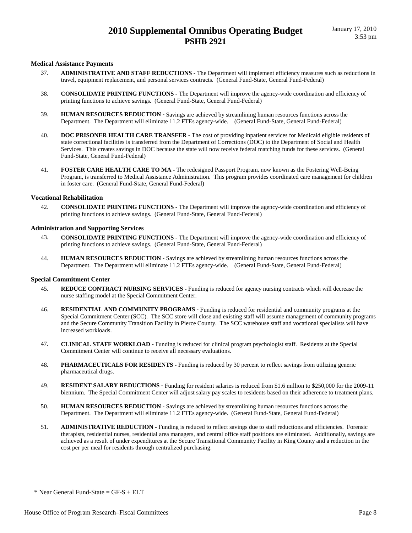#### **Medical Assistance Payments**

- 37. **ADMINISTRATIVE AND STAFF REDUCTIONS** The Department will implement efficiency measures such as reductions in travel, equipment replacement, and personal services contracts. (General Fund-State, General Fund-Federal)
- 38. **CONSOLIDATE PRINTING FUNCTIONS** The Department will improve the agency-wide coordination and efficiency of printing functions to achieve savings. (General Fund-State, General Fund-Federal)
- 39. **HUMAN RESOURCES REDUCTION** Savings are achieved by streamlining human resources functions across the Department. The Department will eliminate 11.2 FTEs agency-wide. (General Fund-State, General Fund-Federal)
- 40. **DOC PRISONER HEALTH CARE TRANSFER** The cost of providing inpatient services for Medicaid eligible residents of state correctional facilities is transferred from the Department of Corrections (DOC) to the Department of Social and Health Services. This creates savings in DOC because the state will now receive federal matching funds for these services. (General Fund-State, General Fund-Federal)
- 41. **FOSTER CARE HEALTH CARE TO MA** The redesigned Passport Program, now known as the Fostering Well-Being Program, is transferred to Medical Assistance Administration. This program provides coordinated care management for children in foster care. (General Fund-State, General Fund-Federal)

#### **Vocational Rehabilitation**

42. **CONSOLIDATE PRINTING FUNCTIONS -** The Department will improve the agency-wide coordination and efficiency of printing functions to achieve savings. (General Fund-State, General Fund-Federal)

#### **Administration and Supporting Services**

- 43. **CONSOLIDATE PRINTING FUNCTIONS** The Department will improve the agency-wide coordination and efficiency of printing functions to achieve savings. (General Fund-State, General Fund-Federal)
- 44. **HUMAN RESOURCES REDUCTION** Savings are achieved by streamlining human resources functions across the Department. The Department will eliminate 11.2 FTEs agency-wide. (General Fund-State, General Fund-Federal)

#### **Special Commitment Center**

- 45. **REDUCE CONTRACT NURSING SERVICES** Funding is reduced for agency nursing contracts which will decrease the nurse staffing model at the Special Commitment Center.
- 46. **RESIDENTIAL AND COMMUNITY PROGRAMS** Funding is reduced for residential and community programs at the Special Commitment Center (SCC). The SCC store will close and existing staff will assume management of community programs and the Secure Community Transition Facility in Pierce County. The SCC warehouse staff and vocational specialists will have increased workloads.
- 47. **CLINICAL STAFF WORKLOAD** Funding is reduced for clinical program psychologist staff. Residents at the Special Commitment Center will continue to receive all necessary evaluations.
- 48. **PHARMACEUTICALS FOR RESIDENTS** Funding is reduced by 30 percent to reflect savings from utilizing generic pharmaceutical drugs.
- 49. **RESIDENT SALARY REDUCTIONS** Funding for resident salaries is reduced from \$1.6 million to \$250,000 for the 2009-11 biennium. The Special Commitment Center will adjust salary pay scales to residents based on their adherence to treatment plans.
- 50. **HUMAN RESOURCES REDUCTION** Savings are achieved by streamlining human resources functions across the Department. The Department will eliminate 11.2 FTEs agency-wide. (General Fund-State, General Fund-Federal)
- 51. **ADMINISTRATIVE REDUCTION** Funding is reduced to reflect savings due to staff reductions and efficiencies. Forensic therapists, residential nurses, residential area managers, and central office staff positions are eliminated. Additionally, savings are achieved as a result of under expenditures at the Secure Transitional Community Facility in King County and a reduction in the cost per per meal for residents through centralized purchasing.

 $*$  Near General Fund-State = GF-S + ELT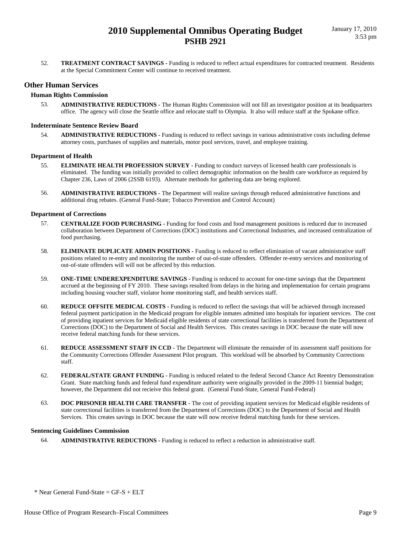52. **TREATMENT CONTRACT SAVINGS -** Funding is reduced to reflect actual expenditures for contracted treatment. Residents at the Special Commitment Center will continue to received treatment.

#### **Other Human Services**

#### **Human Rights Commission**

53. **ADMINISTRATIVE REDUCTIONS -** The Human Rights Commission will not fill an investigator position at its headquarters office. The agency will close the Seattle office and relocate staff to Olympia. It also will reduce staff at the Spokane office.

#### **Indeterminate Sentence Review Board**

54. **ADMINISTRATIVE REDUCTIONS -** Funding is reduced to reflect savings in various administrative costs including defense attorney costs, purchases of supplies and materials, motor pool services, travel, and employee training.

#### **Department of Health**

- 55. **ELIMINATE HEALTH PROFESSION SURVEY** Funding to conduct surveys of licensed health care professionals is eliminated. The funding was initially provided to collect demographic information on the health care workforce as required by Chapter 236, Laws of 2006 (2SSB 6193). Alternate methods for gathering data are being explored.
- 56. **ADMINISTRATIVE REDUCTIONS** The Department will realize savings through reduced administrative functions and additional drug rebates. (General Fund-State; Tobacco Prevention and Control Account)

#### **Department of Corrections**

- 57. **CENTRALIZE FOOD PURCHASING** Funding for food costs and food management positions is reduced due to increased collaboration between Department of Corrections (DOC) institutions and Correctional Industries, and increased centralization of food purchasing.
- 58. **ELIMINATE DUPLICATE ADMIN POSITIONS** Funding is reduced to reflect elimination of vacant administrative staff positions related to re-entry and monitoring the number of out-of-state offenders. Offender re-entry services and monitoring of out-of-state offenders will will not be affected by this reduction.
- 59. **ONE-TIME UNDEREXPENDITURE SAVINGS** Funding is reduced to account for one-time savings that the Department accrued at the beginning of FY 2010. These savings resulted from delays in the hiring and implementation for certain programs including housing voucher staff, violator home monitoring staff, and health services staff.
- 60. **REDUCE OFFSITE MEDICAL COSTS** Funding is reduced to reflect the savings that will be achieved through increased federal payment participation in the Medicaid program for eligible inmates admitted into hospitals for inpatient services. The cost of providing inpatient services for Medicaid eligible residents of state correctional facilities is transferred from the Department of Corrections (DOC) to the Department of Social and Health Services. This creates savings in DOC because the state will now receive federal matching funds for these services.
- 61. **REDUCE ASSESSMENT STAFF IN CCD** The Department will eliminate the remainder of its assessment staff positions for the Community Corrections Offender Assessment Pilot program. This workload will be absorbed by Community Corrections staff.
- 62. **FEDERAL/STATE GRANT FUNDING** Funding is reduced related to the federal Second Chance Act Reentry Demonstration Grant. State matching funds and federal fund expenditure authority were originally provided in the 2009-11 biennial budget; however, the Department did not recieive this federal grant. (General Fund-State, General Fund-Federal)
- 63. **DOC PRISONER HEALTH CARE TRANSFER** The cost of providing inpatient services for Medicaid eligible residents of state correctional facilities is transferred from the Department of Corrections (DOC) to the Department of Social and Health Services. This creates savings in DOC because the state will now receive federal matching funds for these services.

#### **Sentencing Guidelines Commission**

64. **ADMINISTRATIVE REDUCTIONS -** Funding is reduced to reflect a reduction in administrative staff.

 $*$  Near General Fund-State = GF-S + ELT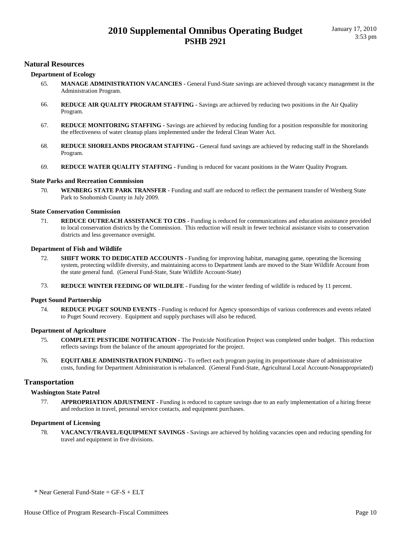#### **Natural Resources**

#### **Department of Ecology**

- 65. **MANAGE ADMINISTRATION VACANCIES** General Fund-State savings are achieved through vacancy management in the Administration Program.
- 66. **REDUCE AIR QUALITY PROGRAM STAFFING** Savings are achieved by reducing two positions in the Air Quality Program.
- 67. **REDUCE MONITORING STAFFING** Savings are achieved by reducing funding for a position responsible for monitoring the effectiveness of water cleanup plans implemented under the federal Clean Water Act.
- 68. **REDUCE SHORELANDS PROGRAM STAFFING** General fund savings are achieved by reducing staff in the Shorelands Program.
- 69. **REDUCE WATER QUALITY STAFFING** Funding is reduced for vacant positions in the Water Quality Program.

#### **State Parks and Recreation Commission**

70. **WENBERG STATE PARK TRANSFER -** Funding and staff are reduced to reflect the permanent transfer of Wenberg State Park to Snohomish County in July 2009.

#### **State Conservation Commission**

71. **REDUCE OUTREACH ASSISTANCE TO CDS -** Funding is reduced for communications and education assistance provided to local conservation districts by the Commission. This reduction will result in fewer technical assistance visits to conservation districts and less governance oversight.

#### **Department of Fish and Wildlife**

- 72. **SHIFT WORK TO DEDICATED ACCOUNTS** Funding for improving habitat, managing game, operating the licensing system, protecting wildlife diversity, and maintaining access to Department lands are moved to the State Wildlife Account from the state general fund. (General Fund-State, State Wildlife Account-State)
- 73. **REDUCE WINTER FEEDING OF WILDLIFE** Funding for the winter feeding of wildlife is reduced by 11 percent.

#### **Puget Sound Partnership**

74. **REDUCE PUGET SOUND EVENTS -** Funding is reduced for Agency sponsorships of various conferences and events related to Puget Sound recovery. Equipment and supply purchases will also be reduced.

#### **Department of Agriculture**

- 75. **COMPLETE PESTICIDE NOTIFICATION** The Pesticide Notification Project was completed under budget. This reduction reflects savings from the balance of the amount appropriated for the project.
- 76. **EQUITABLE ADMINISTRATION FUNDING** To reflect each program paying its proportionate share of administrative costs, funding for Department Administration is rebalanced. (General Fund-State, Agricultural Local Account-Nonappropriated)

#### **Transportation**

#### **Washington State Patrol**

77. **APPROPRIATION ADJUSTMENT -** Funding is reduced to capture savings due to an early implementation of a hiring freeze and reduction in travel, personal service contacts, and equipment purchases.

#### **Department of Licensing**

78. **VACANCY/TRAVEL/EQUIPMENT SAVINGS -** Savings are achieved by holding vacancies open and reducing spending for travel and equipment in five divisions.